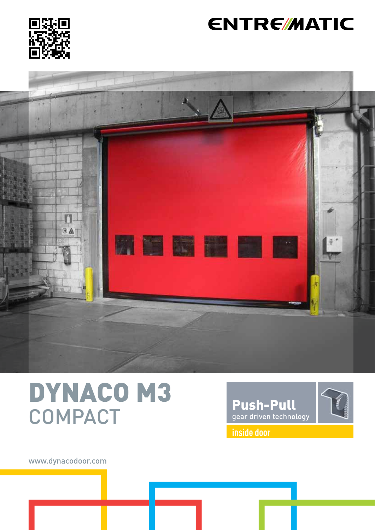

# **ENTRE/MATIC**



# DYNACO M3 **COMPACT**



www.dynacodoor.com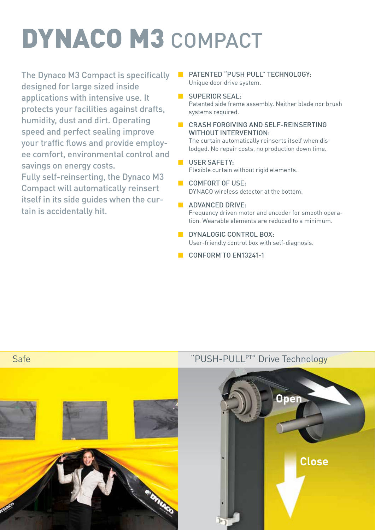# DYNACO M3 COMPACT

The Dynaco M3 Compact is specifically designed for large sized inside applications with intensive use. It protects your facilities against drafts, humidity, dust and dirt. Operating speed and perfect sealing improve your traffic flows and provide employee comfort, environmental control and savings on energy costs.

Fully self-reinserting, the Dynaco M3 Compact will automatically reinsert itself in its side guides when the curtain is accidentally hit.

- PATENTED "PUSH PULL" TECHNOLOGY: Unique door drive system.
- **B** SUPERIOR SEAL: Patented side frame assembly. Neither blade nor brush systems required.
- CRASH FORGIVING AND SELF-REINSERTING WITHOUT INTERVENTION:

The curtain automatically reinserts itself when dislodged. No repair costs, no production down time.

- **USER SAFETY:** Flexible curtain without rigid elements.
- COMFORT OF USE: DYNACO wireless detector at the bottom.
- **ADVANCED DRIVE:** Frequency driven motor and encoder for smooth operation. Wearable elements are reduced to a minimum.
- **DYNALOGIC CONTROL BOX:** User-friendly control box with self-diagnosis.
- CONFORM TO FN13241-1

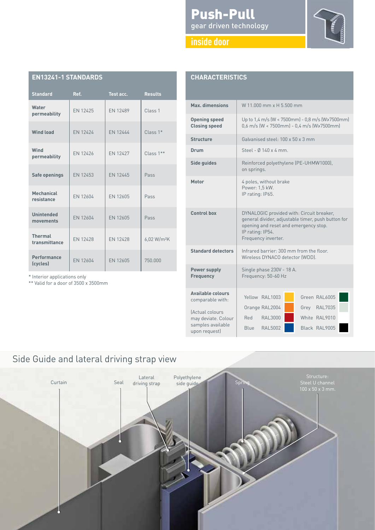### Push-Pull gear driven technology



|  | . . |  |
|--|-----|--|
|  |     |  |

| <b>EN13241-1 STANDARDS</b>      |          |                 |                         |  |  |
|---------------------------------|----------|-----------------|-------------------------|--|--|
| <b>Standard</b>                 | Ref.     | Test acc.       | <b>Results</b>          |  |  |
| Water<br>permeability           | EN 12425 | EN 12489        | Class <sub>1</sub>      |  |  |
| <b>Wind load</b>                | EN 12424 | EN 12444        | $Class 1*$              |  |  |
| Wind<br>permeability            | EN 12426 | EN 12427        | Class 1**               |  |  |
| Safe openings                   | EN 12453 | EN 12445        | Pass                    |  |  |
| <b>Mechanical</b><br>resistance | EN 12604 | EN 12605        | Pass                    |  |  |
| <b>Unintended</b><br>movements  | EN 12604 | EN 12605        | Pass                    |  |  |
| <b>Thermal</b><br>transmittance | EN 12428 | <b>EN 12428</b> | 6,02 W/m <sup>2</sup> K |  |  |
| <b>Performance</b><br>(cycles)  | EN 12604 | EN 12605        | 750,000                 |  |  |

\* Interior applications only

\*\* Valid for a door of 3500 x 3500mm

| <b>CHARACTERISTICS</b>                                    |                                                                                                                                                                                     |  |  |  |  |
|-----------------------------------------------------------|-------------------------------------------------------------------------------------------------------------------------------------------------------------------------------------|--|--|--|--|
| Max. dimensions                                           | W 11,000 mm x H 5,500 mm                                                                                                                                                            |  |  |  |  |
| <b>Opening speed</b><br><b>Closing speed</b>              | Up to 1,4 m/s (W < 7500mm) - 0,8 m/s (W>7500mm)<br>$0,6$ m/s (W < 7500mm) - 0,4 m/s (W>7500mm)                                                                                      |  |  |  |  |
| <b>Structure</b>                                          | Galvanised steel: 100 x 50 x 3 mm                                                                                                                                                   |  |  |  |  |
| Drum                                                      | Steel - Ø 140 x 4 mm.                                                                                                                                                               |  |  |  |  |
| Side guides                                               | Reinforced polyethylene (PE-UHMW1000),<br>on springs.                                                                                                                               |  |  |  |  |
| Motor                                                     | 4 poles, without brake<br>Power: 1,5 kW.<br>IP rating: IP65.                                                                                                                        |  |  |  |  |
| Control box                                               | DYNALOGIC provided with: Circuit breaker,<br>general divider, adjustable timer, push button for<br>opening and reset and emergency stop.<br>IP rating: IP54.<br>Frequency inverter. |  |  |  |  |
| <b>Standard detectors</b>                                 | Infrared barrier: 300 mm from the floor.<br>Wireless DYNACO detector (WDD).                                                                                                         |  |  |  |  |
| <b>Power supply</b><br><b>Frequency</b>                   | Single phase 230V - 18 A.<br>Frequency: 50-60 Hz                                                                                                                                    |  |  |  |  |
| Available colours<br>comparable with:<br>(Actual colours  | Green RAL6005<br>Yellow RAI 1003<br>Grey RAL7035<br>Orange RAL2004                                                                                                                  |  |  |  |  |
| may deviate. Colour<br>samples available<br>upon request) | Red RAL3000<br>White RAL9010<br>Blue RAL5002<br>Black RAL9005                                                                                                                       |  |  |  |  |

## Side Guide and lateral driving strap view